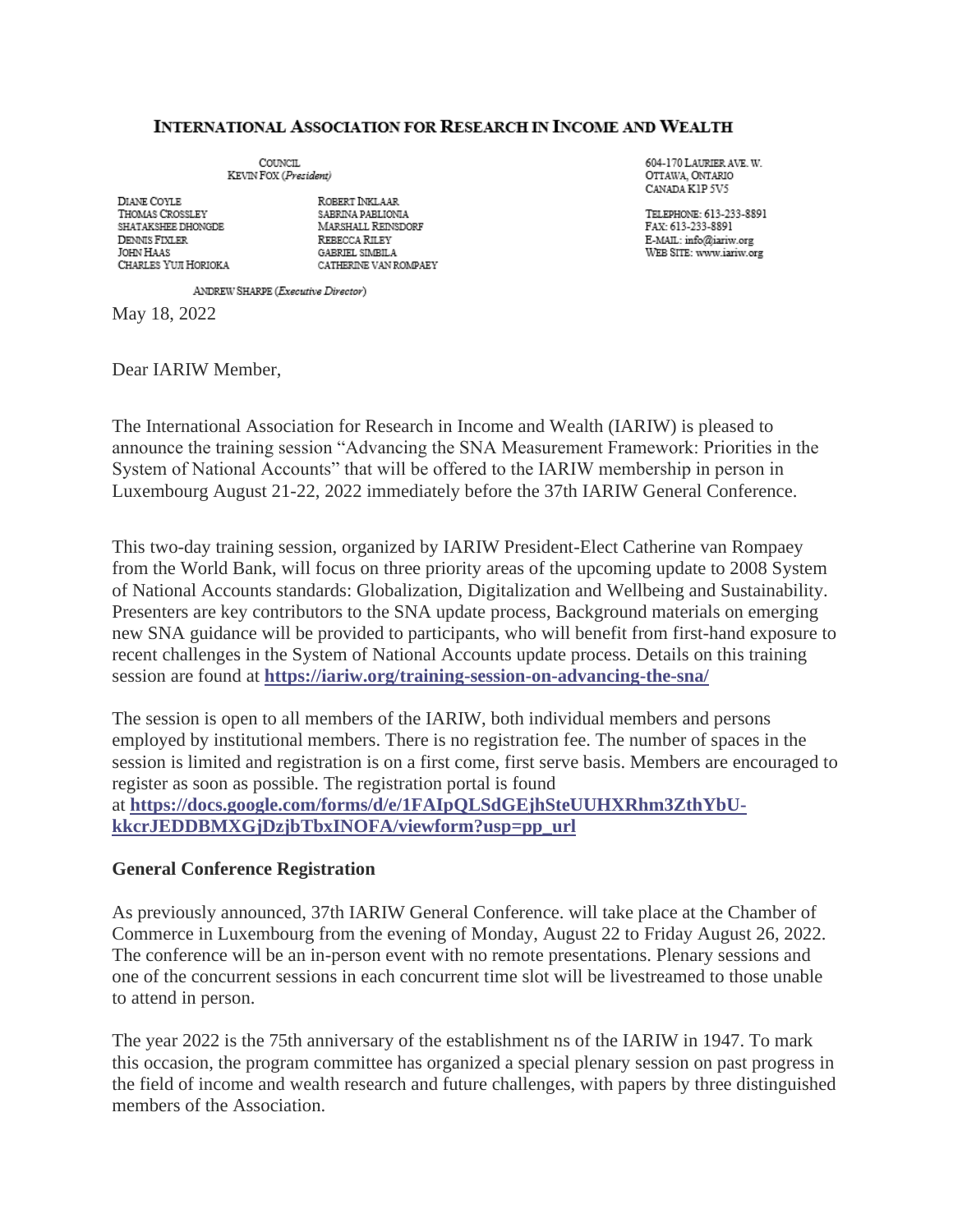#### **INTERNATIONAL ASSOCIATION FOR RESEARCH IN INCOME AND WEALTH**

COUNCIL. KEVIN FOX (President)

DIANE COYLE THOMAS CROSSLEY SHATAKSHEE DHONGDE DENNIS FIXLER **JOHN HAAS** CHARLES YUJI HORIOKA

ROBERT INKLAAR SABRINA PABLIONIA MARSHALL REINSDORF REBECCA RILEY GABRIEL SIMBILA CATHERINE VAN ROMPAEY 604-170 LAURIER AVE W OTTAWA, ONTARIO CANADA KIP 5V5

TELEPHONE: 613-233-8891 FAX: 613-233-8891 E-MAIL: info@iariw.org WEB SITE: www.iariw.org

ANDREW SHARPE (Executive Director)

May 18, 2022

Dear IARIW Member,

The International Association for Research in Income and Wealth (IARIW) is pleased to announce the training session "Advancing the SNA Measurement Framework: Priorities in the System of National Accounts" that will be offered to the IARIW membership in person in Luxembourg August 21-22, 2022 immediately before the 37th IARIW General Conference.

This two-day training session, organized by IARIW President-Elect Catherine van Rompaey from the World Bank, will focus on three priority areas of the upcoming update to 2008 System of National Accounts standards: Globalization, Digitalization and Wellbeing and Sustainability. Presenters are key contributors to the SNA update process, Background materials on emerging new SNA guidance will be provided to participants, who will benefit from first-hand exposure to recent challenges in the System of National Accounts update process. Details on this training session are found at **<https://iariw.org/training-session-on-advancing-the-sna/>**

The session is open to all members of the IARIW, both individual members and persons employed by institutional members. There is no registration fee. The number of spaces in the session is limited and registration is on a first come, first serve basis. Members are encouraged to register as soon as possible. The registration portal is found at **[https://docs.google.com/forms/d/e/1FAIpQLSdGEjhSteUUHXRhm3ZthYbU](https://docs.google.com/forms/d/e/1FAIpQLSdGEjhSteUUHXRhm3ZthYbU-kkcrJEDDBMXGjDzjbTbxINOFA/viewform?usp=pp_url)[kkcrJEDDBMXGjDzjbTbxINOFA/viewform?usp=pp\\_url](https://docs.google.com/forms/d/e/1FAIpQLSdGEjhSteUUHXRhm3ZthYbU-kkcrJEDDBMXGjDzjbTbxINOFA/viewform?usp=pp_url)**

#### **General Conference Registration**

As previously announced, 37th IARIW General Conference. will take place at the Chamber of Commerce in Luxembourg from the evening of Monday, August 22 to Friday August 26, 2022. The conference will be an in-person event with no remote presentations. Plenary sessions and one of the concurrent sessions in each concurrent time slot will be livestreamed to those unable to attend in person.

The year 2022 is the 75th anniversary of the establishment ns of the IARIW in 1947. To mark this occasion, the program committee has organized a special plenary session on past progress in the field of income and wealth research and future challenges, with papers by three distinguished members of the Association.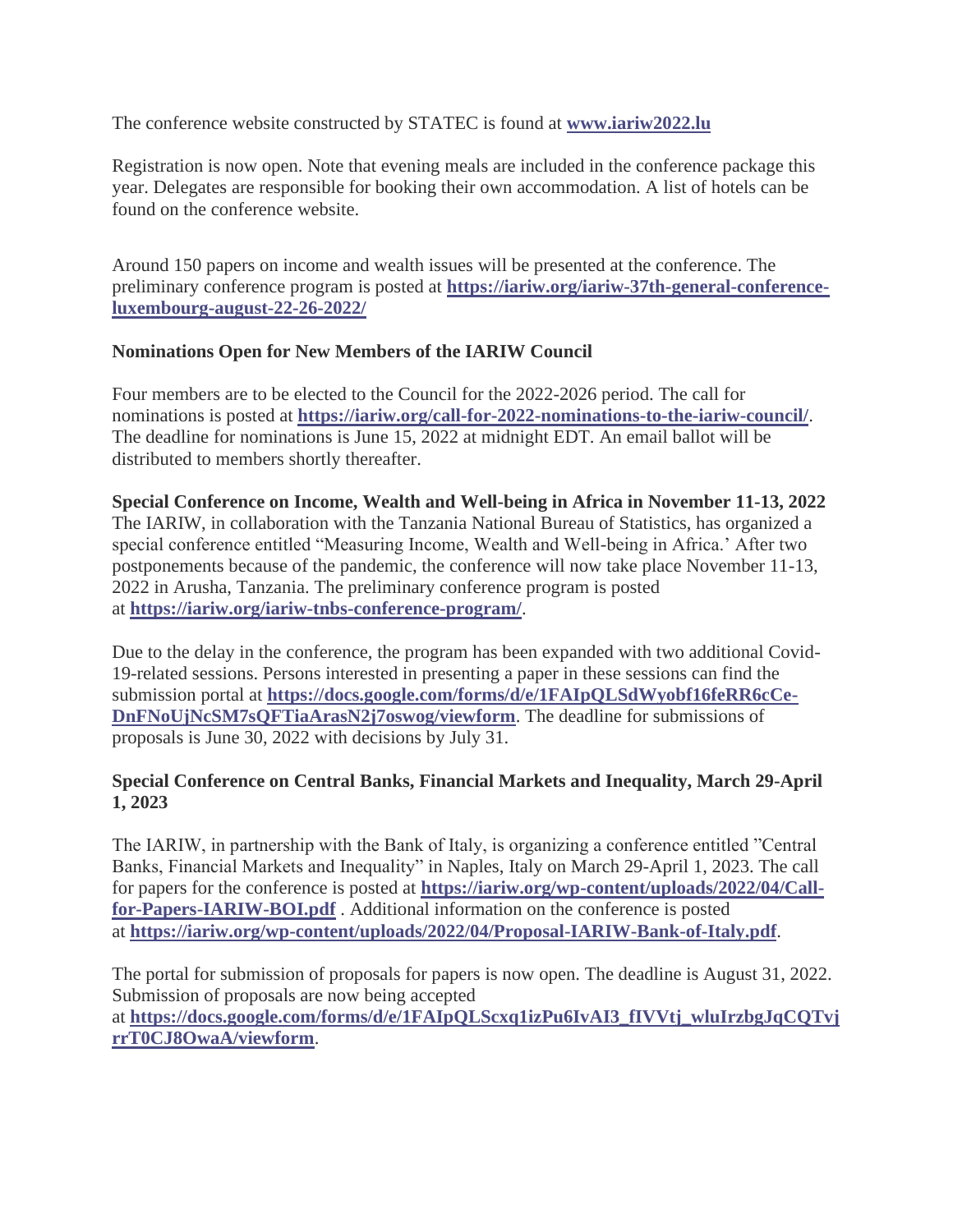The conference website constructed by STATEC is found at **[www.iariw2022.lu](http://www.iariw2022.lu/)**

Registration is now open. Note that evening meals are included in the conference package this year. Delegates are responsible for booking their own accommodation. A list of hotels can be found on the conference website.

Around 150 papers on income and wealth issues will be presented at the conference. The preliminary conference program is posted at **[https://iariw.org/iariw-37th-general-conference](https://iariw.org/iariw-37th-general-conference-luxembourg-august-22-26-2022/)[luxembourg-august-22-26-2022/](https://iariw.org/iariw-37th-general-conference-luxembourg-august-22-26-2022/)**

# **Nominations Open for New Members of the IARIW Council**

Four members are to be elected to the Council for the 2022-2026 period. The call for nominations is posted at **<https://iariw.org/call-for-2022-nominations-to-the-iariw-council/>**. The deadline for nominations is June 15, 2022 at midnight EDT. An email ballot will be distributed to members shortly thereafter.

**Special Conference on Income, Wealth and Well-being in Africa in November 11-13, 2022** The IARIW, in collaboration with the Tanzania National Bureau of Statistics, has organized a special conference entitled "Measuring Income, Wealth and Well-being in Africa.' After two postponements because of the pandemic, the conference will now take place November 11-13, 2022 in Arusha, Tanzania. The preliminary conference program is posted at **<https://iariw.org/iariw-tnbs-conference-program/>**.

Due to the delay in the conference, the program has been expanded with two additional Covid-19-related sessions. Persons interested in presenting a paper in these sessions can find the submission portal at **[https://docs.google.com/forms/d/e/1FAIpQLSdWyobf16feRR6cCe-](https://docs.google.com/forms/d/e/1FAIpQLSdWyobf16feRR6cCe-DnFNoUjNcSM7sQFTiaArasN2j7oswog/viewform)[DnFNoUjNcSM7sQFTiaArasN2j7oswog/viewform](https://docs.google.com/forms/d/e/1FAIpQLSdWyobf16feRR6cCe-DnFNoUjNcSM7sQFTiaArasN2j7oswog/viewform)**. The deadline for submissions of proposals is June 30, 2022 with decisions by July 31.

# **Special Conference on Central Banks, Financial Markets and Inequality, March 29-April 1, 2023**

The IARIW, in partnership with the Bank of Italy, is organizing a conference entitled "Central Banks, Financial Markets and Inequality" in Naples, Italy on March 29-April 1, 2023. The call for papers for the conference is posted at **[https://iariw.org/wp-content/uploads/2022/04/Call](https://iariw.org/wp-content/uploads/2022/04/Call-for-Papers-IARIW-BOI.pdf)[for-Papers-IARIW-BOI.pdf](https://iariw.org/wp-content/uploads/2022/04/Call-for-Papers-IARIW-BOI.pdf)** . Additional information on the conference is posted at **<https://iariw.org/wp-content/uploads/2022/04/Proposal-IARIW-Bank-of-Italy.pdf>**.

The portal for submission of proposals for papers is now open. The deadline is August 31, 2022. Submission of proposals are now being accepted at **[https://docs.google.com/forms/d/e/1FAIpQLScxq1izPu6IvAI3\\_fIVVtj\\_wluIrzbgJqCQTvj](https://docs.google.com/forms/d/e/1FAIpQLScxq1izPu6IvAI3_fIVVtj_wluIrzbgJqCQTvjrrT0CJ8OwaA/viewform) [rrT0CJ8OwaA/viewform](https://docs.google.com/forms/d/e/1FAIpQLScxq1izPu6IvAI3_fIVVtj_wluIrzbgJqCQTvjrrT0CJ8OwaA/viewform)**.